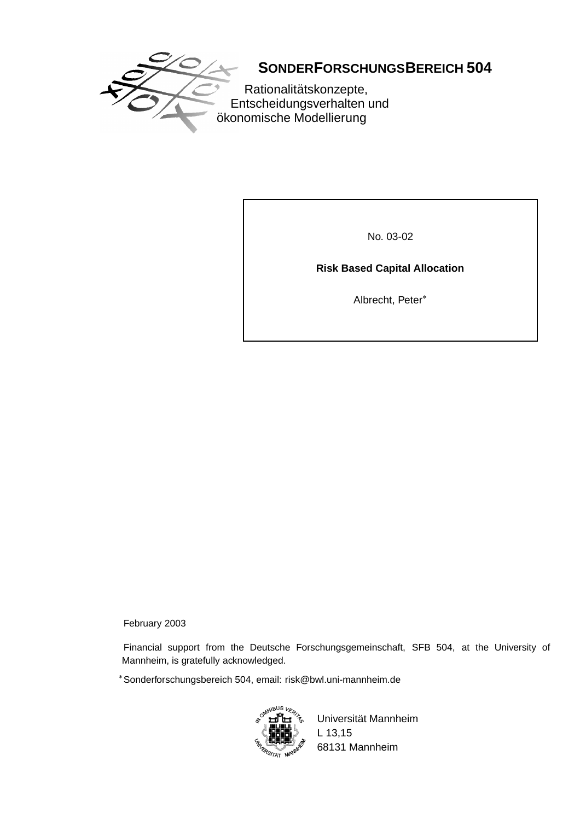

# **SONDERFORSCHUNGSBEREICH 504**

Rationalitätskonzepte, Entscheidungsverhalten und ökonomische Modellierung

No. 03-02

# **Risk Based Capital Allocation**

Albrecht, Peter

February 2003

Financial support from the Deutsche Forschungsgemeinschaft, SFB 504, at the University of Mannheim, is gratefully acknowledged.

Sonderforschungsbereich 504, email: risk@bwl.uni-mannheim.de



Universität Mannheim L 13,15 68131 Mannheim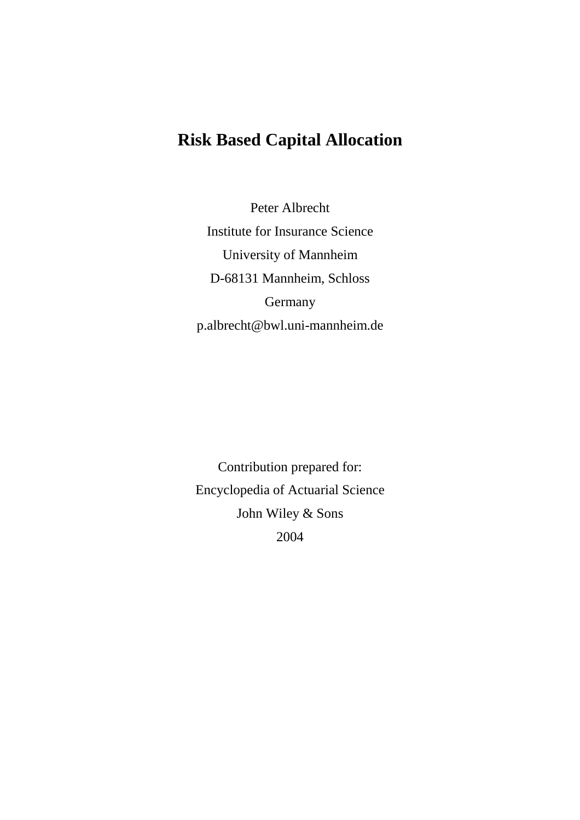# **Risk Based Capital Allocation**

Peter Albrecht Institute for Insurance Science University of Mannheim D-68131 Mannheim, Schloss Germany p.albrecht@bwl.uni-mannheim.de

Contribution prepared for: Encyclopedia of Actuarial Science John Wiley & Sons 2004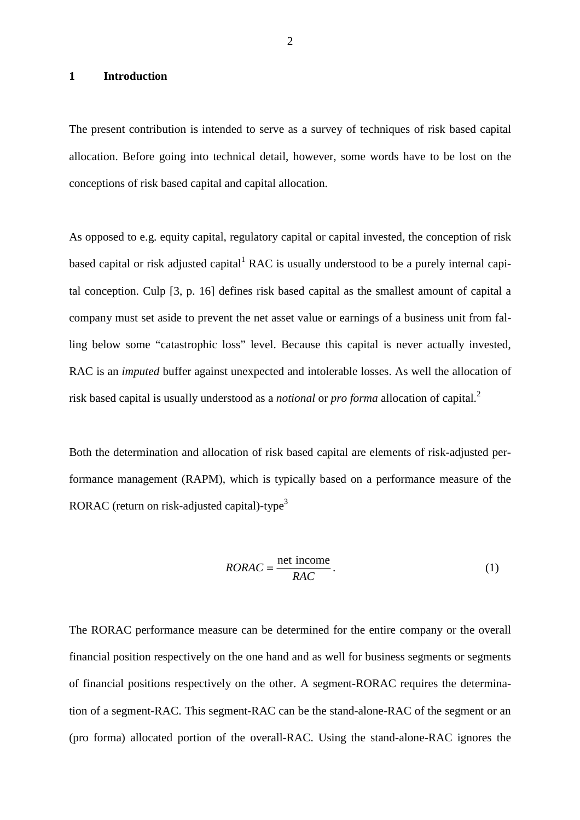# **1 Introduction**

The present contribution is intended to serve as a survey of techniques of risk based capital allocation. Before going into technical detail, however, some words have to be lost on the conceptions of risk based capital and capital allocation.

As opposed to e.g. equity capital, regulatory capital or capital invested, the conception of risk based capital or risk adjusted capital<sup>1</sup> RAC is usually understood to be a purely internal capital conception. Culp [3, p. 16] defines risk based capital as the smallest amount of capital a company must set aside to prevent the net asset value or earnings of a business unit from falling below some "catastrophic loss" level. Because this capital is never actually invested, RAC is an *imputed* buffer against unexpected and intolerable losses. As well the allocation of risk based capital is usually understood as a *notional* or *pro forma* allocation of capital.<sup>2</sup>

Both the determination and allocation of risk based capital are elements of risk-adjusted performance management (RAPM), which is typically based on a performance measure of the RORAC (return on risk-adjusted capital)-type<sup>3</sup>

$$
RORAC = \frac{\text{net income}}{RAC} \tag{1}
$$

The RORAC performance measure can be determined for the entire company or the overall financial position respectively on the one hand and as well for business segments or segments of financial positions respectively on the other. A segment-RORAC requires the determination of a segment-RAC. This segment-RAC can be the stand-alone-RAC of the segment or an (pro forma) allocated portion of the overall-RAC. Using the stand-alone-RAC ignores the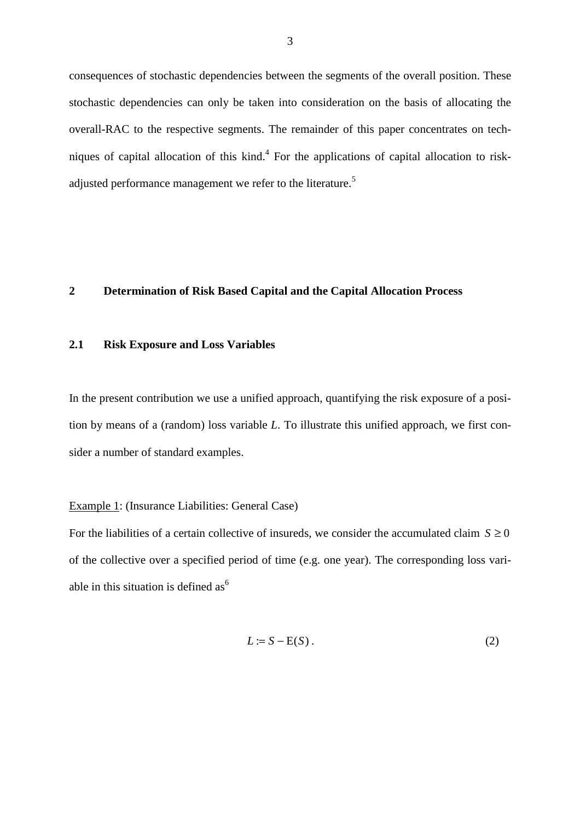consequences of stochastic dependencies between the segments of the overall position. These stochastic dependencies can only be taken into consideration on the basis of allocating the overall-RAC to the respective segments. The remainder of this paper concentrates on techniques of capital allocation of this kind.<sup>4</sup> For the applications of capital allocation to riskadjusted performance management we refer to the literature.<sup>5</sup>

# **2 Determination of Risk Based Capital and the Capital Allocation Process**

### **2.1 Risk Exposure and Loss Variables**

In the present contribution we use a unified approach, quantifying the risk exposure of a position by means of a (random) loss variable *L*. To illustrate this unified approach, we first consider a number of standard examples.

# Example 1: (Insurance Liabilities: General Case)

For the liabilities of a certain collective of insureds, we consider the accumulated claim  $S \ge 0$ of the collective over a specified period of time (e.g. one year). The corresponding loss variable in this situation is defined as<sup> $6$ </sup>

$$
L := S - E(S) \tag{2}
$$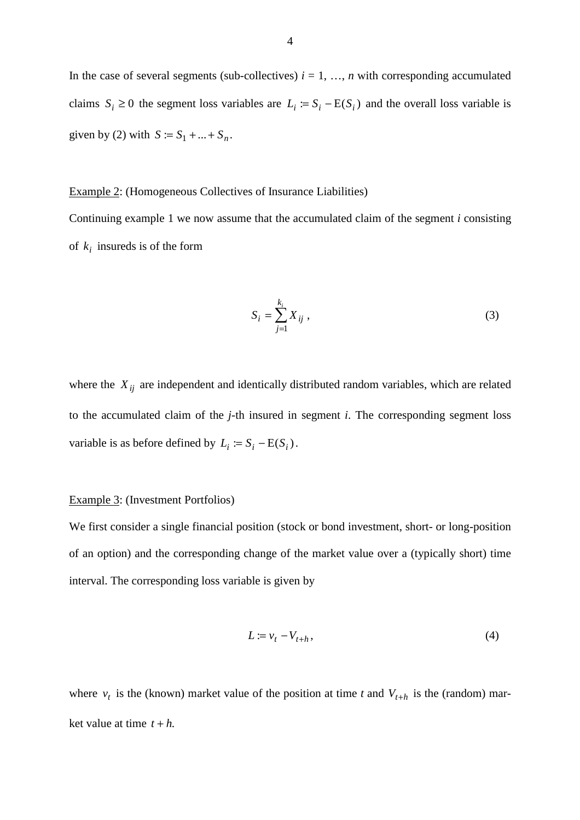In the case of several segments (sub-collectives)  $i = 1, \ldots, n$  with corresponding accumulated claims  $S_i \geq 0$  the segment loss variables are  $L_i := S_i - E(S_i)$  and the overall loss variable is given by (2) with  $S := S_1 + ... + S_n$ .

#### Example 2: (Homogeneous Collectives of Insurance Liabilities)

Continuing example 1 we now assume that the accumulated claim of the segment *i* consisting of  $k_i$  insureds is of the form

$$
S_i = \sum_{j=1}^{k_i} X_{ij} , \qquad (3)
$$

where the  $X_{ij}$  are independent and identically distributed random variables, which are related to the accumulated claim of the *j*-th insured in segment *i*. The corresponding segment loss variable is as before defined by  $L_i := S_i - E(S_i)$ .

#### Example 3: (Investment Portfolios)

We first consider a single financial position (stock or bond investment, short- or long-position of an option) and the corresponding change of the market value over a (typically short) time interval. The corresponding loss variable is given by

$$
L := v_t - V_{t+h},\tag{4}
$$

where  $v_t$  is the (known) market value of the position at time *t* and  $V_{t+h}$  is the (random) market value at time  $t + h$ .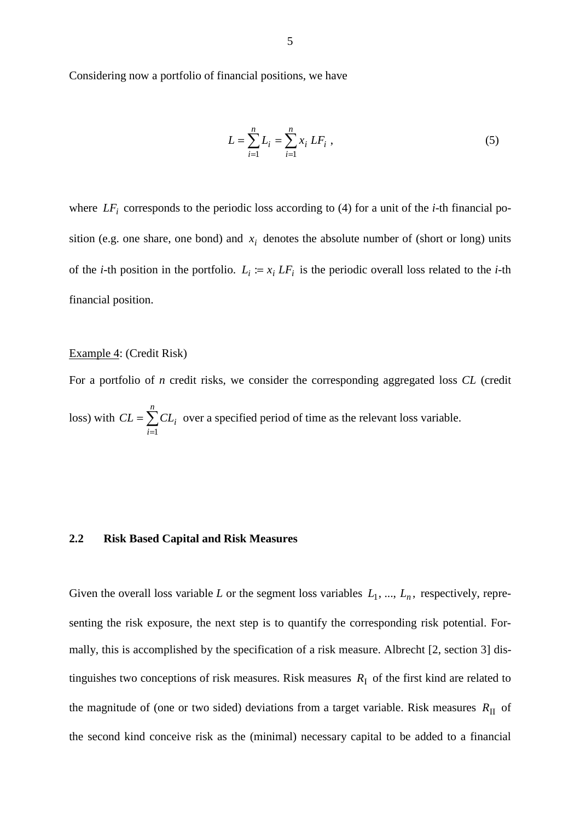Considering now a portfolio of financial positions, we have

$$
L = \sum_{i=1}^{n} L_i = \sum_{i=1}^{n} x_i \, L F_i \tag{5}
$$

where  $LF_i$  corresponds to the periodic loss according to (4) for a unit of the *i*-th financial position (e.g. one share, one bond) and  $x_i$  denotes the absolute number of (short or long) units of the *i*-th position in the portfolio.  $L_i := x_i L F_i$  is the periodic overall loss related to the *i*-th financial position.

## Example 4: (Credit Risk)

For a portfolio of *n* credit risks, we consider the corresponding aggregated loss *CL* (credit loss) with  $CL = \sum$ = = *n i*  $CL = \sum CL_i$ 1 over a specified period of time as the relevant loss variable.

### **2.2 Risk Based Capital and Risk Measures**

Given the overall loss variable *L* or the segment loss variables  $L_1, ..., L_n$ , respectively, representing the risk exposure, the next step is to quantify the corresponding risk potential. Formally, this is accomplished by the specification of a risk measure. Albrecht [2, section 3] distinguishes two conceptions of risk measures. Risk measures  $R<sub>I</sub>$  of the first kind are related to the magnitude of (one or two sided) deviations from a target variable. Risk measures  $R_{\text{II}}$  of the second kind conceive risk as the (minimal) necessary capital to be added to a financial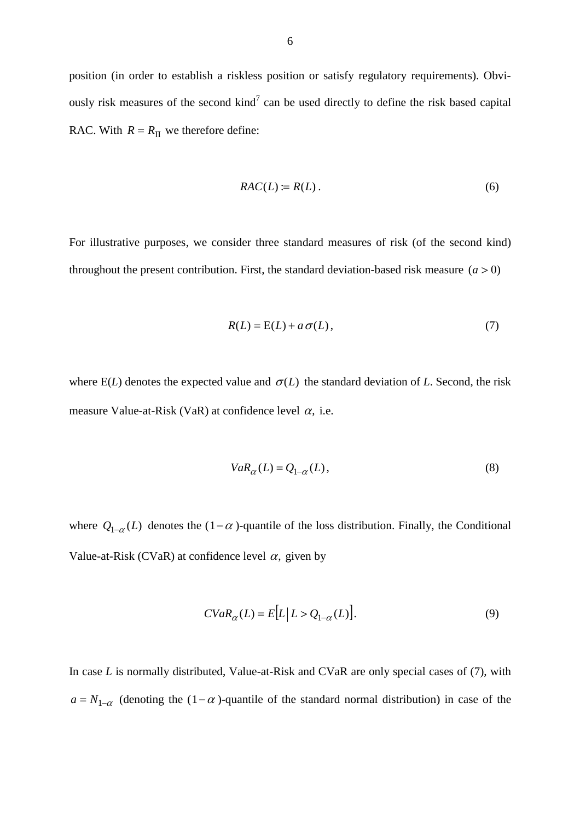position (in order to establish a riskless position or satisfy regulatory requirements). Obviously risk measures of the second kind<sup>7</sup> can be used directly to define the risk based capital RAC. With  $R = R_{II}$  we therefore define:

$$
RAC(L) := R(L). \tag{6}
$$

For illustrative purposes, we consider three standard measures of risk (of the second kind) throughout the present contribution. First, the standard deviation-based risk measure  $(a > 0)$ 

$$
R(L) = E(L) + a\,\sigma(L),\tag{7}
$$

where  $E(L)$  denotes the expected value and  $\sigma(L)$  the standard deviation of *L*. Second, the risk measure Value-at-Risk (VaR) at confidence level  $\alpha$ , i.e.

$$
VaR_{\alpha}(L) = Q_{1-\alpha}(L),\tag{8}
$$

where  $Q_{1-\alpha}(L)$  denotes the  $(1-\alpha)$ -quantile of the loss distribution. Finally, the Conditional Value-at-Risk (CVaR) at confidence level  $\alpha$ , given by

$$
CVaR_{\alpha}(L) = E[L|L > Q_{1-\alpha}(L)].
$$
\n(9)

In case *L* is normally distributed, Value-at-Risk and CVaR are only special cases of (7), with  $a = N_{1-\alpha}$  (denoting the (1- $\alpha$ )-quantile of the standard normal distribution) in case of the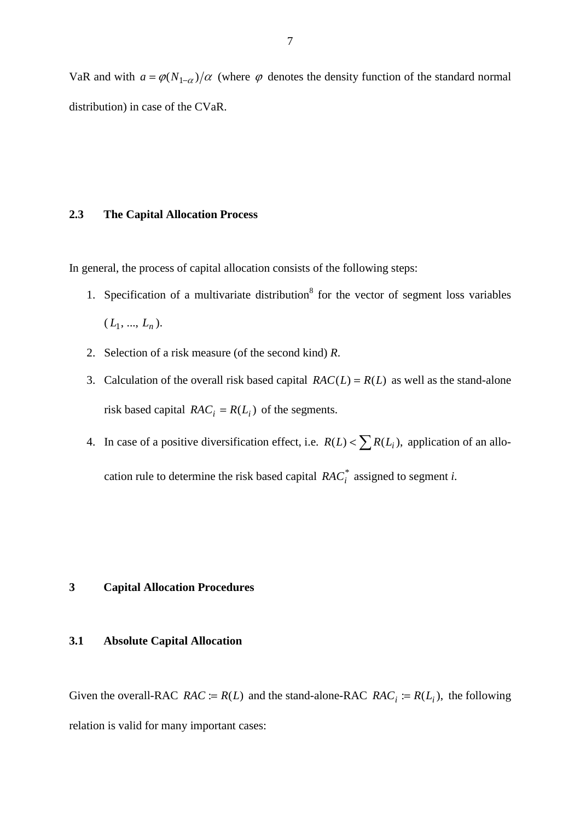VaR and with  $a = \varphi(N_{1-\alpha})/\alpha$  (where  $\varphi$  denotes the density function of the standard normal distribution) in case of the CVaR.

## **2.3 The Capital Allocation Process**

In general, the process of capital allocation consists of the following steps:

- 1. Specification of a multivariate distribution<sup>8</sup> for the vector of segment loss variables  $(L_1, ..., L_n).$
- 2. Selection of a risk measure (of the second kind) *R*.
- 3. Calculation of the overall risk based capital  $RAC(L) = R(L)$  as well as the stand-alone risk based capital  $RAC_i = R(L_i)$  of the segments.
- 4. In case of a positive diversification effect, i.e.  $R(L) < \sum R(L_i)$ , application of an allocation rule to determine the risk based capital  $RAC_i^*$  assigned to segment *i*.

## **3 Capital Allocation Procedures**

## **3.1 Absolute Capital Allocation**

Given the overall-RAC *RAC* :=  $R(L)$  and the stand-alone-RAC *RAC<sub>i</sub>* :=  $R(L<sub>i</sub>)$ , the following relation is valid for many important cases: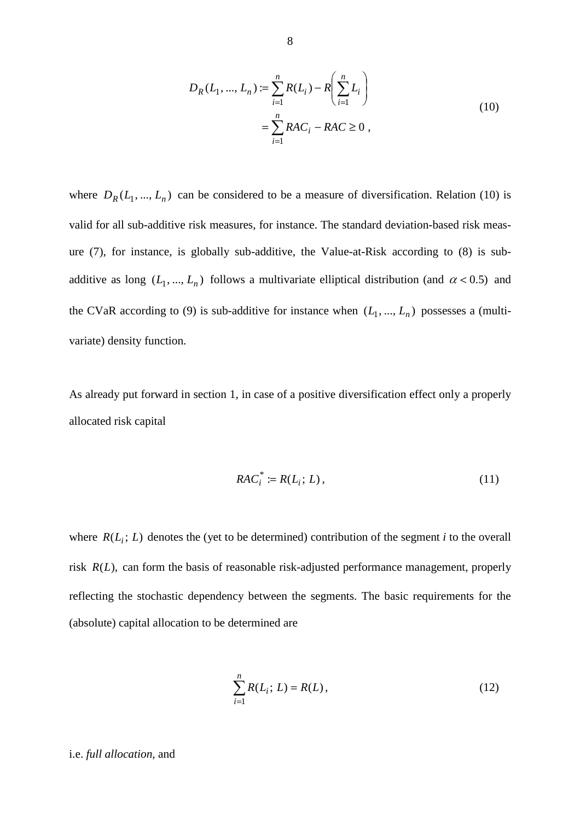$$
D_R(L_1, ..., L_n) := \sum_{i=1}^n R(L_i) - R\left(\sum_{i=1}^n L_i\right)
$$
  
= 
$$
\sum_{i=1}^n RAC_i - RAC \ge 0,
$$
 (10)

where  $D_R(L_1, ..., L_n)$  can be considered to be a measure of diversification. Relation (10) is valid for all sub-additive risk measures, for instance. The standard deviation-based risk measure (7), for instance, is globally sub-additive, the Value-at-Risk according to (8) is subadditive as long  $(L_1, ..., L_n)$  follows a multivariate elliptical distribution (and  $\alpha < 0.5$ ) and the CVaR according to (9) is sub-additive for instance when  $(L_1, ..., L_n)$  possesses a (multivariate) density function.

As already put forward in section 1, in case of a positive diversification effect only a properly allocated risk capital

$$
RAC_i^* := R(L_i; L), \qquad (11)
$$

where  $R(L_i; L)$  denotes the (yet to be determined) contribution of the segment *i* to the overall risk *R*(*L*), can form the basis of reasonable risk-adjusted performance management, properly reflecting the stochastic dependency between the segments. The basic requirements for the (absolute) capital allocation to be determined are

$$
\sum_{i=1}^{n} R(L_i; L) = R(L),
$$
\n(12)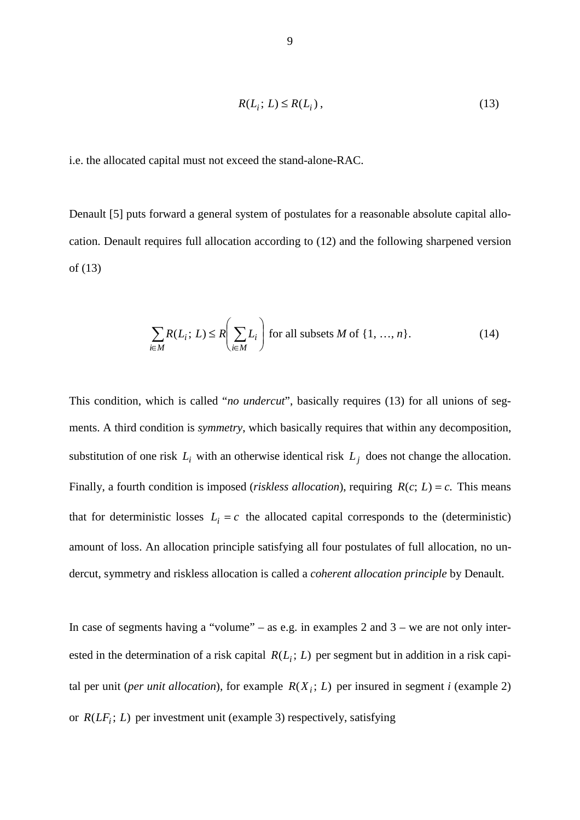$$
R(L_i; L) \le R(L_i),\tag{13}
$$

i.e. the allocated capital must not exceed the stand-alone-RAC.

Denault [5] puts forward a general system of postulates for a reasonable absolute capital allocation. Denault requires full allocation according to (12) and the following sharpened version of (13)

$$
\sum_{i \in M} R(L_i; L) \le R \left( \sum_{i \in M} L_i \right) \text{ for all subsets } M \text{ of } \{1, ..., n\}. \tag{14}
$$

This condition, which is called "*no undercut*", basically requires (13) for all unions of segments. A third condition is *symmetry*, which basically requires that within any decomposition, substitution of one risk  $L_i$  with an otherwise identical risk  $L_i$  does not change the allocation. Finally, a fourth condition is imposed (*riskless allocation*), requiring  $R(c; L) = c$ . This means that for deterministic losses  $L_i = c$  the allocated capital corresponds to the (deterministic) amount of loss. An allocation principle satisfying all four postulates of full allocation, no undercut, symmetry and riskless allocation is called a *coherent allocation principle* by Denault.

In case of segments having a "volume" – as e.g. in examples 2 and  $3$  – we are not only interested in the determination of a risk capital  $R(L_i; L)$  per segment but in addition in a risk capital per unit (*per unit allocation*), for example  $R(X_i; L)$  per insured in segment *i* (example 2) or  $R(LF_i; L)$  per investment unit (example 3) respectively, satisfying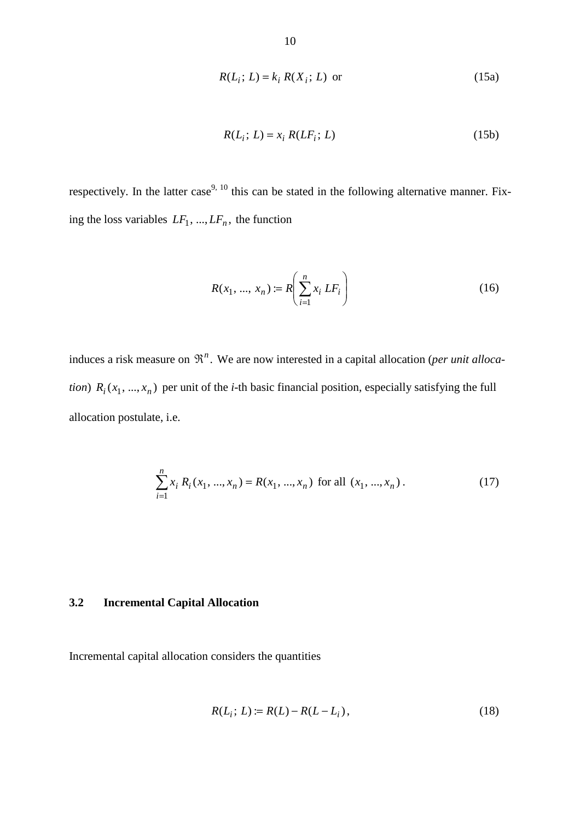$$
R(L_i; L) = k_i R(X_i; L) \text{ or } \tag{15a}
$$

$$
R(L_i; L) = x_i R(LF_i; L) \tag{15b}
$$

respectively. In the latter case<sup>9, 10</sup> this can be stated in the following alternative manner. Fixing the loss variables  $LF_1$ , ...,  $LF_n$ , the function

$$
R(x_1, ..., x_n) \coloneqq R \left( \sum_{i=1}^n x_i \, L F_i \right) \tag{16}
$$

induces a risk measure on  $\mathfrak{R}^n$ . We are now interested in a capital allocation (*per unit allocation*)  $R_i(x_1, ..., x_n)$  per unit of the *i*-th basic financial position, especially satisfying the full allocation postulate, i.e.

$$
\sum_{i=1}^{n} x_i R_i(x_1, ..., x_n) = R(x_1, ..., x_n) \text{ for all } (x_1, ..., x_n).
$$
 (17)

# **3.2 Incremental Capital Allocation**

Incremental capital allocation considers the quantities

$$
R(L_i; L) := R(L) - R(L - L_i),
$$
\n(18)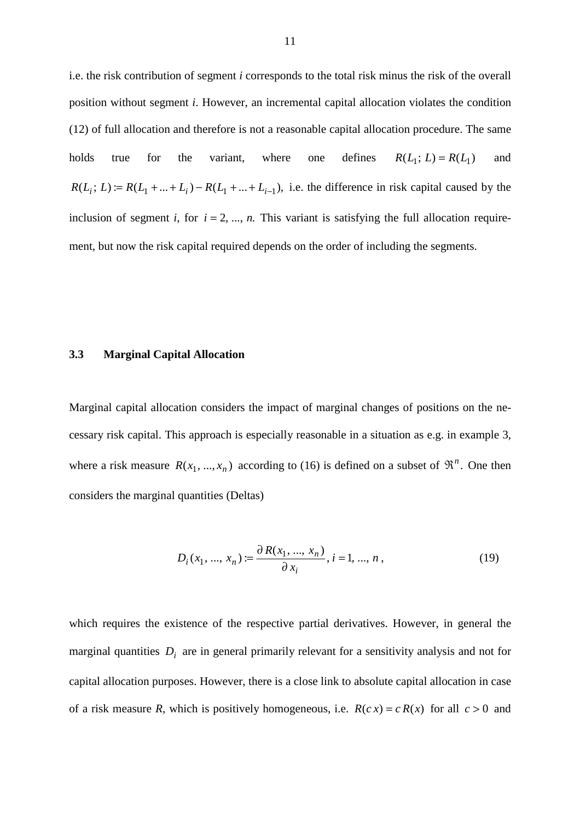i.e. the risk contribution of segment *i* corresponds to the total risk minus the risk of the overall position without segment *i*. However, an incremental capital allocation violates the condition (12) of full allocation and therefore is not a reasonable capital allocation procedure. The same holds true for the variant, where one defines  $R(L_1; L) = R(L_1)$  and  $R(L_i; L) := R(L_1 + ... + L_i) - R(L_1 + ... + L_{i-1}),$  i.e. the difference in risk capital caused by the inclusion of segment *i*, for  $i = 2, ..., n$ . This variant is satisfying the full allocation requirement, but now the risk capital required depends on the order of including the segments.

### **3.3 Marginal Capital Allocation**

Marginal capital allocation considers the impact of marginal changes of positions on the necessary risk capital. This approach is especially reasonable in a situation as e.g. in example 3, where a risk measure  $R(x_1, ..., x_n)$  according to (16) is defined on a subset of  $\mathfrak{R}^n$ . One then considers the marginal quantities (Deltas)

$$
D_i(x_1, ..., x_n) := \frac{\partial R(x_1, ..., x_n)}{\partial x_i}, i = 1, ..., n,
$$
\n(19)

which requires the existence of the respective partial derivatives. However, in general the marginal quantities *Di* are in general primarily relevant for a sensitivity analysis and not for capital allocation purposes. However, there is a close link to absolute capital allocation in case of a risk measure *R*, which is positively homogeneous, i.e.  $R(c x) = c R(x)$  for all  $c > 0$  and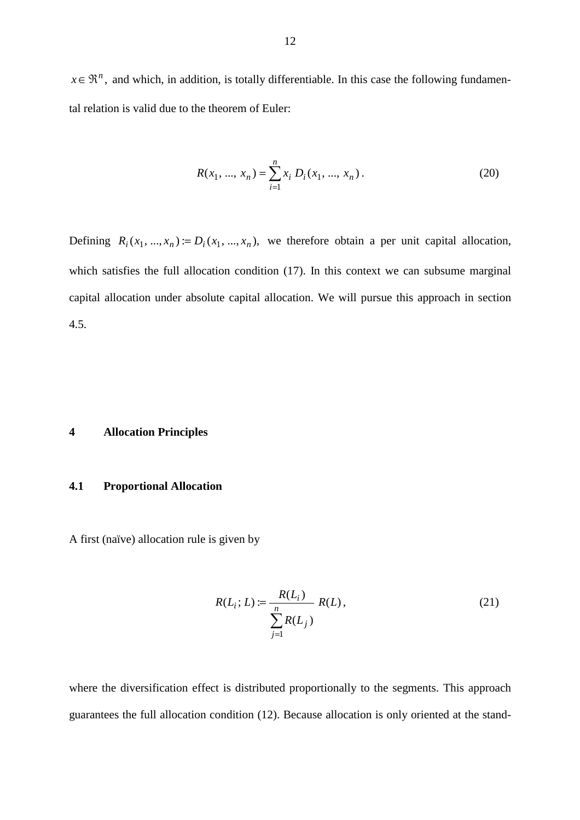$x \in \mathbb{R}^n$ , and which, in addition, is totally differentiable. In this case the following fundamental relation is valid due to the theorem of Euler:

$$
R(x_1, ..., x_n) = \sum_{i=1}^{n} x_i D_i(x_1, ..., x_n).
$$
 (20)

Defining  $R_i(x_1, ..., x_n) := D_i(x_1, ..., x_n)$ , we therefore obtain a per unit capital allocation, which satisfies the full allocation condition (17). In this context we can subsume marginal capital allocation under absolute capital allocation. We will pursue this approach in section 4.5.

## **4 Allocation Principles**

# **4.1 Proportional Allocation**

A first (naïve) allocation rule is given by

$$
R(L_i; L) := \frac{R(L_i)}{\sum_{j=1}^{n} R(L_j)}
$$
 (21)

where the diversification effect is distributed proportionally to the segments. This approach guarantees the full allocation condition (12). Because allocation is only oriented at the stand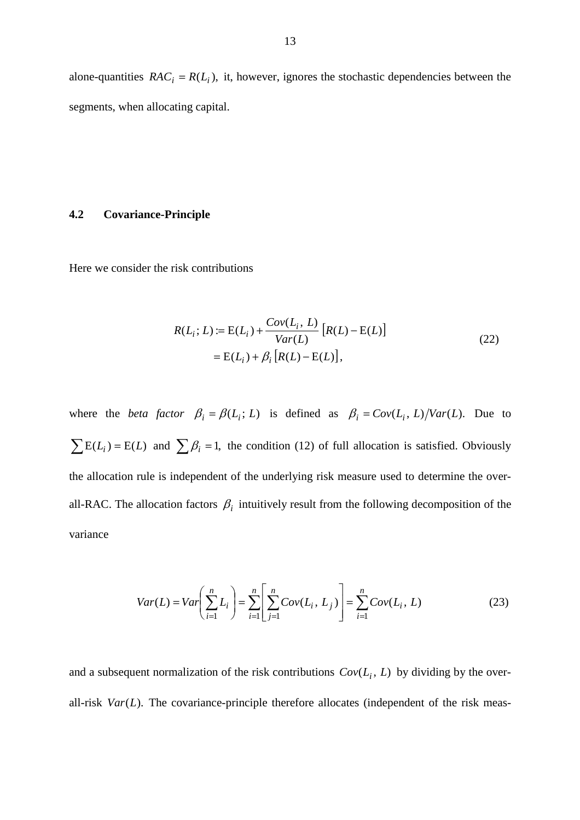alone-quantities  $RAC_i = R(L_i)$ , it, however, ignores the stochastic dependencies between the segments, when allocating capital.

# **4.2 Covariance-Principle**

Here we consider the risk contributions

$$
R(L_i; L) := E(L_i) + \frac{Cov(L_i, L)}{Var(L)} [R(L) - E(L)]
$$
  
= E(L\_i) + \beta\_i [R(L) - E(L)], (22)

where the *beta factor*  $\beta_i = \beta(L_i; L)$  is defined as  $\beta_i = Cov(L_i, L) / Var(L)$ . Due to  $\sum E(L_i) = E(L)$  and  $\sum \beta_i = 1$ , the condition (12) of full allocation is satisfied. Obviously the allocation rule is independent of the underlying risk measure used to determine the overall-RAC. The allocation factors  $\beta_i$  intuitively result from the following decomposition of the variance

$$
Var(L) = Var\left(\sum_{i=1}^{n} L_i\right) = \sum_{i=1}^{n} \left[ \sum_{j=1}^{n} Cov(L_i, L_j) \right] = \sum_{i=1}^{n} Cov(L_i, L)
$$
 (23)

and a subsequent normalization of the risk contributions  $Cov(L_i, L)$  by dividing by the overall-risk *Var*(*L*). The covariance-principle therefore allocates (independent of the risk meas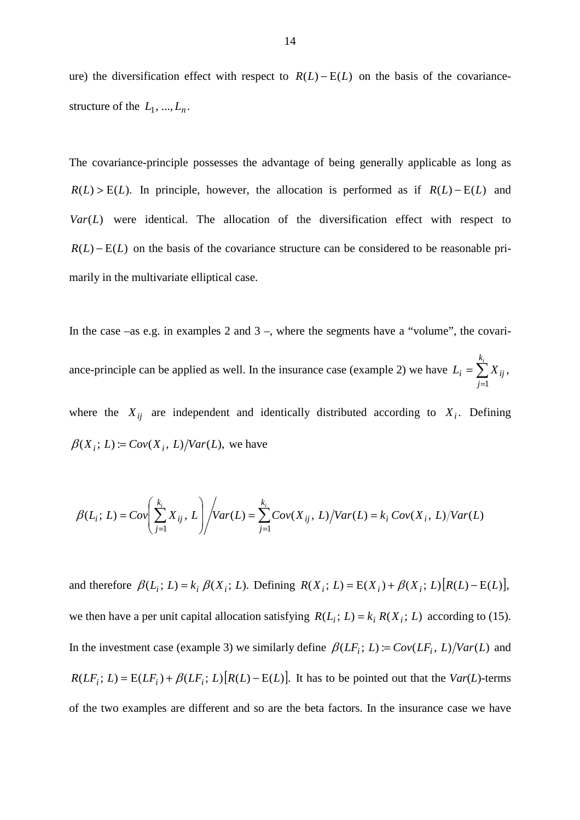ure) the diversification effect with respect to  $R(L) - E(L)$  on the basis of the covariancestructure of the  $L_1, ..., L_n$ .

The covariance-principle possesses the advantage of being generally applicable as long as  $R(L) > E(L)$ . In principle, however, the allocation is performed as if  $R(L) - E(L)$  and  $Var(L)$  were identical. The allocation of the diversification effect with respect to  $R(L) - E(L)$  on the basis of the covariance structure can be considered to be reasonable primarily in the multivariate elliptical case.

In the case –as e.g. in examples 2 and  $3$  –, where the segments have a "volume", the covariance-principle can be applied as well. In the insurance case (example 2) we have  $L_i = \sum$ =  $=\sum_{i=1}^{k_i}$ *j*  $L_i = \sum X_{ij}$ 1 , where the  $X_{ij}$  are independent and identically distributed according to  $X_i$ . Defining

 $\beta(X_i; L) = Cov(X_i, L) / Var(L)$ , we have

$$
\beta(L_i; L) = Cov\left(\sum_{j=1}^{k_i} X_{ij}, L\right) / Var(L) = \sum_{j=1}^{k_i} Cov(X_{ij}, L) / Var(L) = k_i Cov(X_i, L) / Var(L)
$$

and therefore  $\beta(L_i; L) = k_i \beta(X_i; L)$ . Defining  $R(X_i; L) = E(X_i) + \beta(X_i; L) [R(L) - E(L)]$ , we then have a per unit capital allocation satisfying  $R(L_i; L) = k_i R(X_i; L)$  according to (15). In the investment case (example 3) we similarly define  $\beta(LF_i; L) := Cov(LF_i, L)/Var(L)$  and  $R(LF_i; L) = E(LF_i) + \beta(LF_i; L)[R(L) - E(L)]$ . It has to be pointed out that the *Var*(*L*)-terms of the two examples are different and so are the beta factors. In the insurance case we have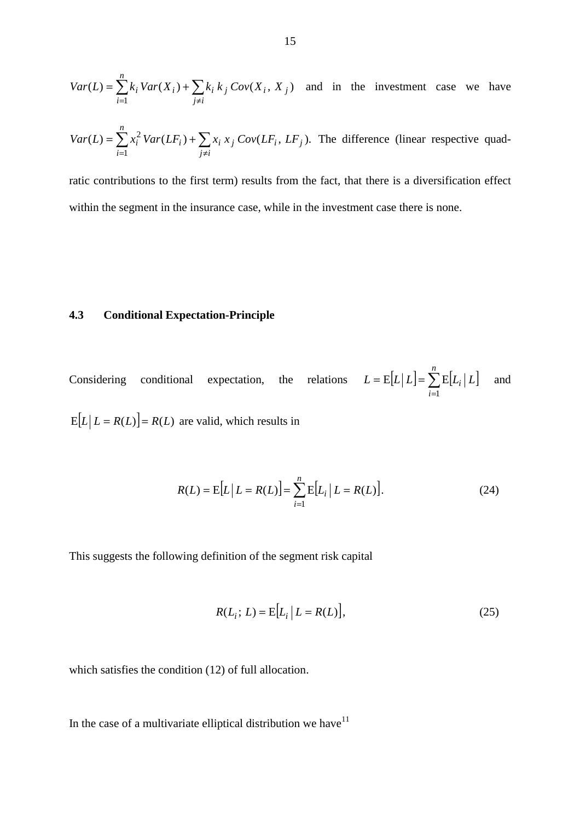$$
Var(L) = \sum_{i=1}^{n} k_i Var(X_i) + \sum_{j \neq i} k_i k_j Cov(X_i, X_j)
$$
 and in the investment case we have

$$
Var(L) = \sum_{i=1}^{n} x_i^2 Var(LF_i) + \sum_{j \neq i} x_j Cov(LF_i, LF_j).
$$
 The difference (linear respective quadr

ratic contributions to the first term) results from the fact, that there is a diversification effect within the segment in the insurance case, while in the investment case there is none.

# **4.3 Conditional Expectation-Principle**

Considering conditional expectation, the relations  $L = E[L | L] = \sum E[L_i | L]$ =  $= E[L | L] =$ *n i*  $L = E[L | L] = \sum E[L_i | L]$ 1  $E|L|L| = \sum E|L_i|L|$  and  $E[L | L = R(L)] = R(L)$  are valid, which results in

$$
R(L) = E[L | L = R(L)] = \sum_{i=1}^{n} E[L_i | L = R(L)].
$$
\n(24)

This suggests the following definition of the segment risk capital

$$
R(L_i; L) = E[L_i | L = R(L)],
$$
\n(25)

which satisfies the condition (12) of full allocation.

In the case of a multivariate elliptical distribution we have  $11$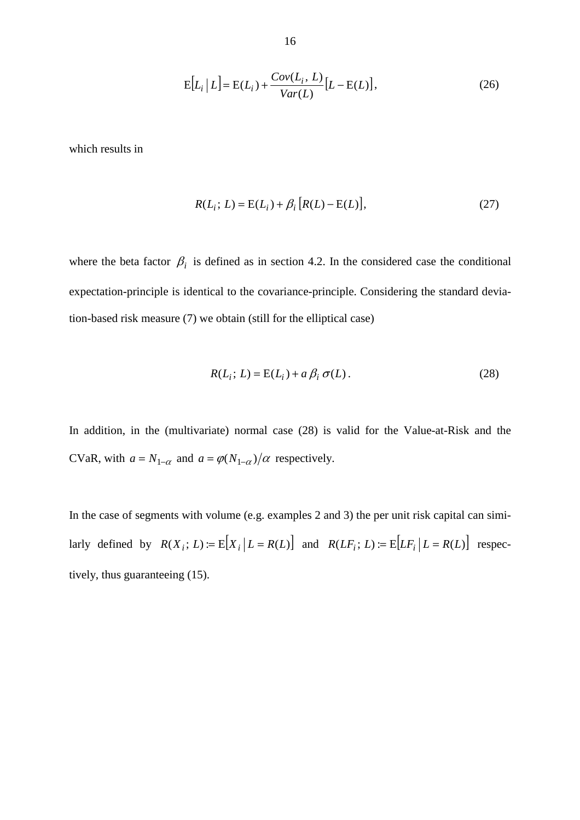$$
E[L_i | L] = E(L_i) + \frac{Cov(L_i, L)}{Var(L)} [L - E(L)],
$$
\n(26)

which results in

$$
R(L_i; L) = E(L_i) + \beta_i [R(L) - E(L)],
$$
\n(27)

where the beta factor  $\beta_i$  is defined as in section 4.2. In the considered case the conditional expectation-principle is identical to the covariance-principle. Considering the standard deviation-based risk measure (7) we obtain (still for the elliptical case)

$$
R(L_i; L) = E(L_i) + a\beta_i \sigma(L). \qquad (28)
$$

In addition, in the (multivariate) normal case (28) is valid for the Value-at-Risk and the CVaR, with  $a = N_{1-\alpha}$  and  $a = \varphi(N_{1-\alpha})/\alpha$  respectively.

In the case of segments with volume (e.g. examples 2 and 3) the per unit risk capital can similarly defined by  $R(X_i; L) := E[X_i | L = R(L)]$  and  $R(LF_i; L) := E[LF_i | L = R(L)]$  respectively, thus guaranteeing (15).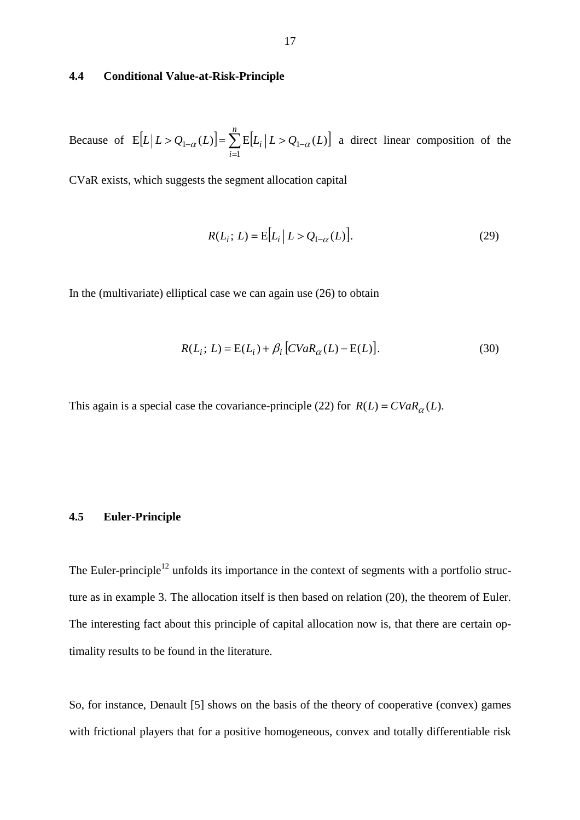## **4.4 Conditional Value-at-Risk-Principle**

Because of  $E[L | L > Q_{1-\alpha}(L)] = \sum E[L_i | L > Q_{1-\alpha}(L)]$ =  $> Q_{1-\alpha}(L)$ ] =  $\sum E[L_i | L > Q_{1-\alpha}]$ *n i*  $L[L \ge Q_{1-\alpha}(L)] = \sum E[L_i | L > Q_{1-\alpha}(L)]$ 1  $E[L | L > Q_{1-\alpha}(L)] = \sum E[L_i | L > Q_{1-\alpha}(L)]$  a direct linear composition of the

CVaR exists, which suggests the segment allocation capital

$$
R(L_i; L) = E[L_i | L > Q_{1-\alpha}(L)].
$$
\n(29)

In the (multivariate) elliptical case we can again use (26) to obtain

$$
R(L_i; L) = E(L_i) + \beta_i \left[ CVaR_{\alpha}(L) - E(L) \right].
$$
 (30)

This again is a special case the covariance-principle (22) for  $R(L) = CVaR_{\alpha}(L)$ .

## **4.5 Euler-Principle**

The Euler-principle<sup>12</sup> unfolds its importance in the context of segments with a portfolio structure as in example 3. The allocation itself is then based on relation (20), the theorem of Euler. The interesting fact about this principle of capital allocation now is, that there are certain optimality results to be found in the literature.

So, for instance, Denault [5] shows on the basis of the theory of cooperative (convex) games with frictional players that for a positive homogeneous, convex and totally differentiable risk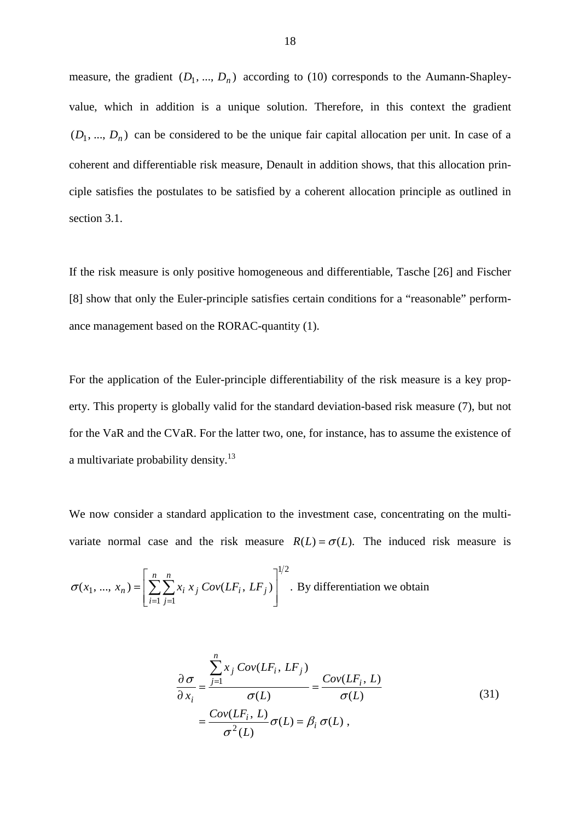measure, the gradient  $(D_1, ..., D_n)$  according to (10) corresponds to the Aumann-Shapleyvalue, which in addition is a unique solution. Therefore, in this context the gradient  $(D_1, ..., D_n)$  can be considered to be the unique fair capital allocation per unit. In case of a coherent and differentiable risk measure, Denault in addition shows, that this allocation principle satisfies the postulates to be satisfied by a coherent allocation principle as outlined in section 3.1.

If the risk measure is only positive homogeneous and differentiable, Tasche [26] and Fischer [8] show that only the Euler-principle satisfies certain conditions for a "reasonable" performance management based on the RORAC-quantity (1).

For the application of the Euler-principle differentiability of the risk measure is a key property. This property is globally valid for the standard deviation-based risk measure (7), but not for the VaR and the CVaR. For the latter two, one, for instance, has to assume the existence of a multivariate probability density.<sup>13</sup>

We now consider a standard application to the investment case, concentrating on the multivariate normal case and the risk measure  $R(L) = \sigma(L)$ . The induced risk measure is

$$
\sigma(x_1, ..., x_n) = \left[ \sum_{i=1}^n \sum_{j=1}^n x_i x_j Cov(LF_i, LF_j) \right]^{1/2}
$$
. By differentiation we obtain

$$
\frac{\partial \sigma}{\partial x_i} = \frac{\sum_{j=1}^{n} x_j Cov(LF_i, LF_j)}{\sigma(L)} = \frac{Cov(LF_i, L)}{\sigma(L)} = \frac{Cov(LF_i, L)}{\sigma(L)} \sigma(L),
$$
\n(31)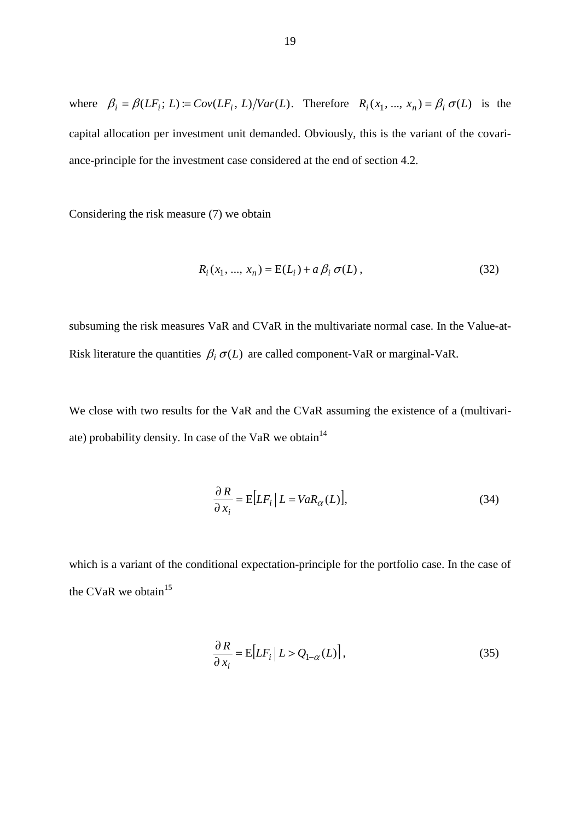where  $\beta_i = \beta(LF_i; L) := Cov(LF_i, L) / Var(L)$ . Therefore  $R_i(x_1, ..., x_n) = \beta_i \sigma(L)$  is the capital allocation per investment unit demanded. Obviously, this is the variant of the covariance-principle for the investment case considered at the end of section 4.2.

Considering the risk measure (7) we obtain

$$
R_i(x_1, ..., x_n) = E(L_i) + a\beta_i \sigma(L), \qquad (32)
$$

subsuming the risk measures VaR and CVaR in the multivariate normal case. In the Value-at-Risk literature the quantities  $\beta_i \sigma(L)$  are called component-VaR or marginal-VaR.

We close with two results for the VaR and the CVaR assuming the existence of a (multivariate) probability density. In case of the VaR we obtain<sup>14</sup>

$$
\frac{\partial R}{\partial x_i} = E[LF_i | L = VaR_{\alpha}(L)],\tag{34}
$$

which is a variant of the conditional expectation-principle for the portfolio case. In the case of the CVaR we obtain $15$ 

$$
\frac{\partial R}{\partial x_i} = \mathbb{E}\big[LF_i \, \big| \, L > Q_{1-\alpha}(L)\big],\tag{35}
$$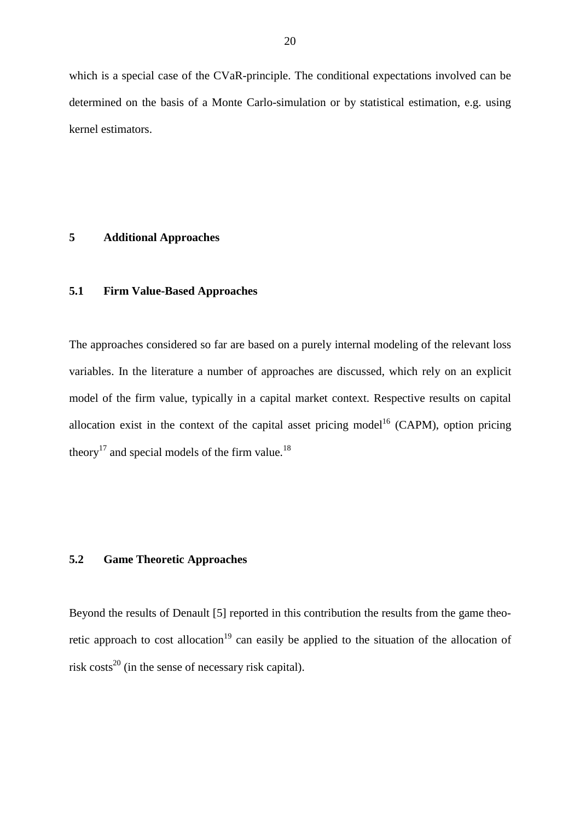which is a special case of the CVaR-principle. The conditional expectations involved can be determined on the basis of a Monte Carlo-simulation or by statistical estimation, e.g. using kernel estimators.

## **5 Additional Approaches**

# **5.1 Firm Value-Based Approaches**

The approaches considered so far are based on a purely internal modeling of the relevant loss variables. In the literature a number of approaches are discussed, which rely on an explicit model of the firm value, typically in a capital market context. Respective results on capital allocation exist in the context of the capital asset pricing model<sup>16</sup> (CAPM), option pricing theory<sup>17</sup> and special models of the firm value.<sup>18</sup>

# **5.2 Game Theoretic Approaches**

Beyond the results of Denault [5] reported in this contribution the results from the game theoretic approach to cost allocation<sup>19</sup> can easily be applied to the situation of the allocation of risk costs<sup>20</sup> (in the sense of necessary risk capital).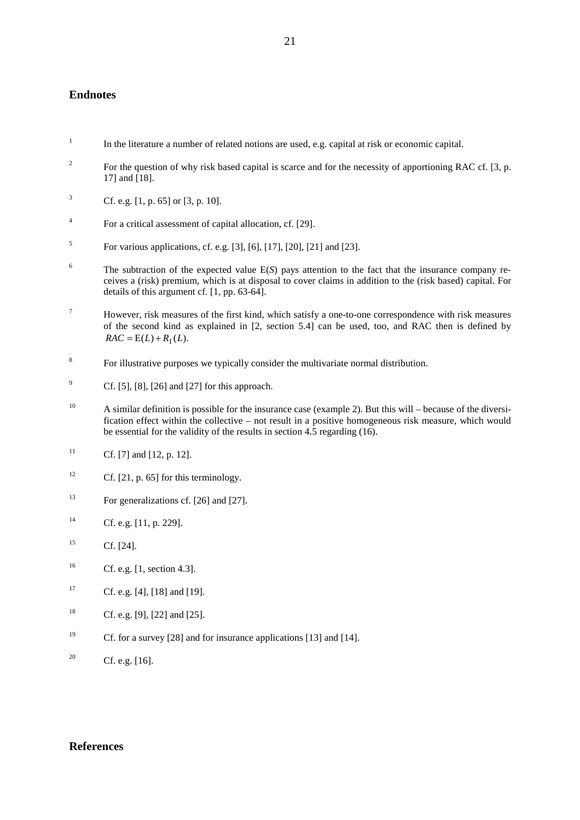## **Endnotes**

- 1 In the literature a number of related notions are used, e.g. capital at risk or economic capital.
- 2 For the question of why risk based capital is scarce and for the necessity of apportioning RAC cf. [3, p. 17] and [18].
- 3 Cf. e.g. [1, p. 65] or [3, p. 10].
- 4 For a critical assessment of capital allocation, cf. [29].
- 5 For various applications, cf. e.g. [3], [6], [17], [20], [21] and [23].
- 6 The subtraction of the expected value E(*S*) pays attention to the fact that the insurance company receives a (risk) premium, which is at disposal to cover claims in addition to the (risk based) capital. For details of this argument cf. [1, pp. 63-64].
- 7 However, risk measures of the first kind, which satisfy a one-to-one correspondence with risk measures of the second kind as explained in [2, section 5.4] can be used, too, and RAC then is defined by  $RAC = E(L) + R<sub>I</sub>(L).$
- 8 For illustrative purposes we typically consider the multivariate normal distribution.
- 9 Cf. [5], [8], [26] and [27] for this approach.
- <sup>10</sup> A similar definition is possible for the insurance case (example 2). But this will because of the diversification effect within the collective – not result in a positive homogeneous risk measure, which would be essential for the validity of the results in section 4.5 regarding (16).
- <sup>11</sup> Cf. [7] and [12, p. 12].
- <sup>12</sup> Cf. [21, p. 65] for this terminology.
- <sup>13</sup> For generalizations cf. [26] and [27].
- <sup>14</sup> Cf. e.g. [11, p. 229].
- $15$  Cf. [24].
- <sup>16</sup> Cf. e.g. [1, section 4.3].
- <sup>17</sup> Cf. e.g. [4], [18] and [19].
- <sup>18</sup> Cf. e.g. [9], [22] and [25].
- <sup>19</sup> Cf. for a survey [28] and for insurance applications [13] and [14].
- <sup>20</sup> Cf. e.g.  $[16]$ .

### **References**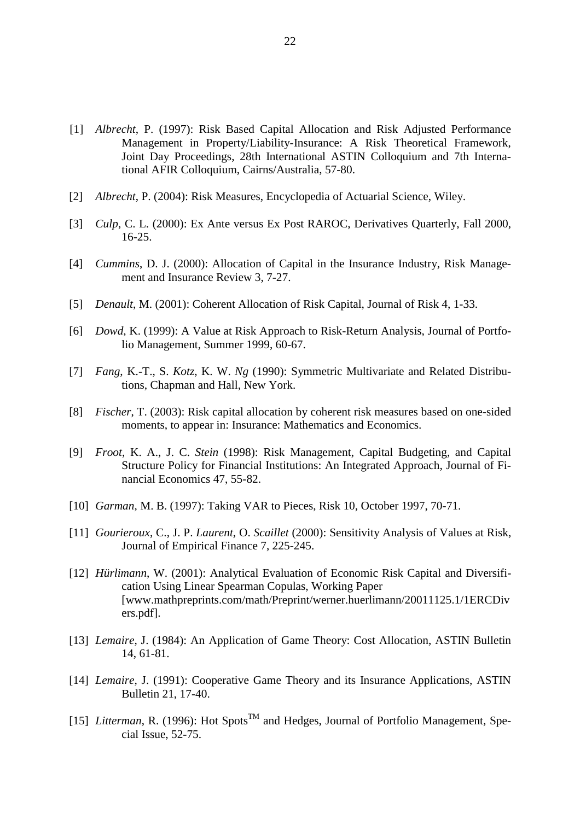- [1] *Albrecht*, P. (1997): Risk Based Capital Allocation and Risk Adjusted Performance Management in Property/Liability-Insurance: A Risk Theoretical Framework, Joint Day Proceedings, 28th International ASTIN Colloquium and 7th International AFIR Colloquium, Cairns/Australia, 57-80.
- [2] *Albrecht*, P. (2004): Risk Measures, Encyclopedia of Actuarial Science, Wiley.
- [3] *Culp*, C. L. (2000): Ex Ante versus Ex Post RAROC, Derivatives Quarterly, Fall 2000, 16-25.
- [4] *Cummins*, D. J. (2000): Allocation of Capital in the Insurance Industry, Risk Management and Insurance Review 3, 7-27.
- [5] *Denault*, M. (2001): Coherent Allocation of Risk Capital, Journal of Risk 4, 1-33.
- [6] *Dowd*, K. (1999): A Value at Risk Approach to Risk-Return Analysis, Journal of Portfolio Management, Summer 1999, 60-67.
- [7] *Fang*, K.-T., S. *Kotz*, K. W. *Ng* (1990): Symmetric Multivariate and Related Distributions, Chapman and Hall, New York.
- [8] *Fischer*, T. (2003): Risk capital allocation by coherent risk measures based on one-sided moments, to appear in: Insurance: Mathematics and Economics.
- [9] *Froot*, K. A., J. C. *Stein* (1998): Risk Management, Capital Budgeting, and Capital Structure Policy for Financial Institutions: An Integrated Approach, Journal of Financial Economics 47, 55-82.
- [10] *Garman*, M. B. (1997): Taking VAR to Pieces, Risk 10, October 1997, 70-71.
- [11] *Gourieroux*, C., J. P. *Laurent*, O. *Scaillet* (2000): Sensitivity Analysis of Values at Risk, Journal of Empirical Finance 7, 225-245.
- [12] *Hürlimann*, W. (2001): Analytical Evaluation of Economic Risk Capital and Diversification Using Linear Spearman Copulas, Working Paper [www.mathpreprints.com/math/Preprint/werner.huerlimann/20011125.1/1ERCDiv ers.pdf].
- [13] *Lemaire*, J. (1984): An Application of Game Theory: Cost Allocation, ASTIN Bulletin 14, 61-81.
- [14] *Lemaire*, J. (1991): Cooperative Game Theory and its Insurance Applications, ASTIN Bulletin 21, 17-40.
- [15] *Litterman*, R. (1996): Hot Spots<sup>TM</sup> and Hedges, Journal of Portfolio Management, Special Issue, 52-75.